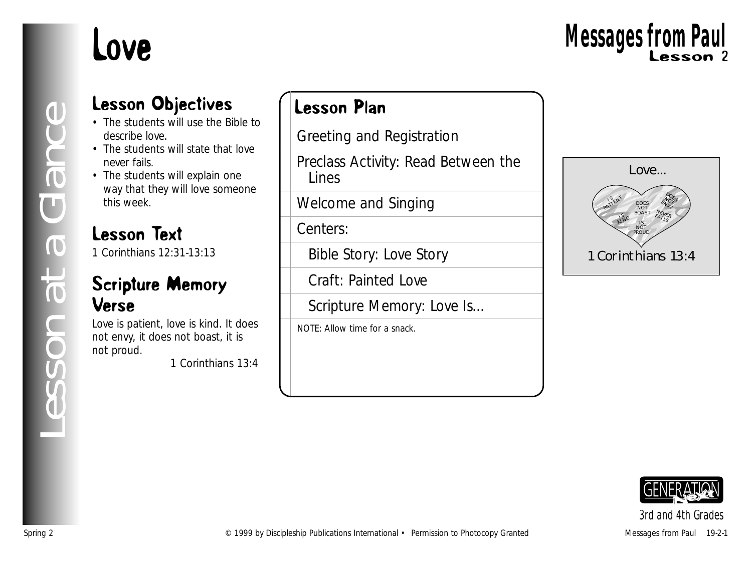# Love

## Lesson Objectives

- The students will use the Bible to describe love.
- The students will state that love never fails.
- The students will explain one way that they will love someone this week.

## Lesson Text

1 Corinthians 12:31-13:13

## Scripture Memory Verse

Love is patient, love is kind. It does not envy, it does not boast, it is not proud.

*1 Corinthians 13:4*

## Lesson Plan

Greeting and Registration

Preclass Activity: Read Between the Lines

Welcome and Singing

Centers:

Bible Story: Love Story

Craft: Painted Love

Scripture Memory: Love Is...

NOTE: Allow time for a snack.





*3rd and 4th Grades*

*Lesson at a Glance*

esson at a Glance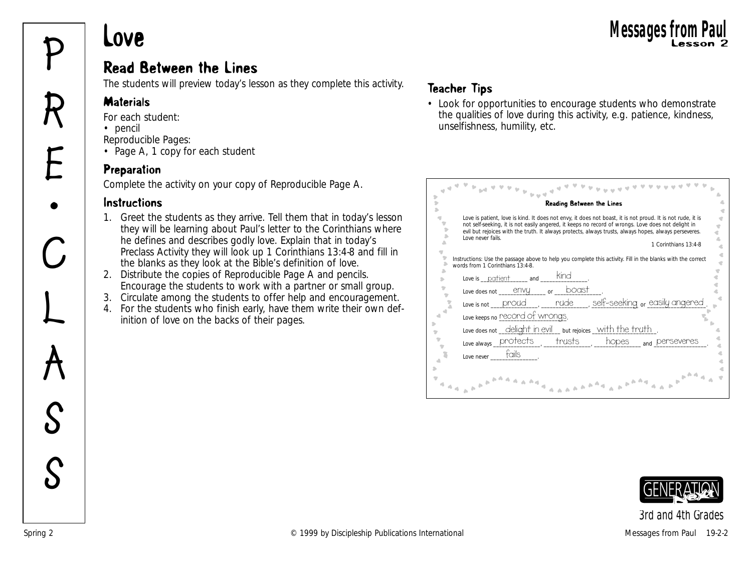## Read Between the Lines **Messages from Paul<br>Read Between the Lines**<br>**P** Read Between the Lines

The students will preview today's lesson as they complete this activity.

#### **Materials**

*For each student:*

• pencil

**R**

**E**

**•**

**C**

**L**

**A**

**S**

**S**

*Reproducible Pages:*

• Page A, 1 copy for each student

## Preparation

Complete the activity on your copy of Reproducible Page A.

#### **Instructions**

- 1. Greet the students as they arrive. Tell them that in today's lesson they will be learning about Paul's letter to the Corinthians where he defines and describes godly love. Explain that in today's Preclass Activity they will look up 1 Corinthians 13:4-8 and fill in the blanks as they look at the Bible's definition of love.
- 2. Distribute the copies of Reproducible Page A and pencils. Encourage the students to work with a partner or small group.
- 3. Circulate among the students to offer help and encouragement.
- 4. For the students who finish early, have them write their own definition of love on the backs of their pages.

## Teacher Tips

• Look for opportunities to encourage students who demonstrate the qualities of love during this activity, e.g. patience, kindness, unselfishness, humility, etc.

| Reading Between the Lines                                                                                                                                                                                                                                                                                                                                              |
|------------------------------------------------------------------------------------------------------------------------------------------------------------------------------------------------------------------------------------------------------------------------------------------------------------------------------------------------------------------------|
| Love is patient, love is kind. It does not envy, it does not boast, it is not proud. It is not rude, it is<br>not self-seeking, it is not easily angered, it keeps no record of wrongs. Love does not delight in<br>evil but rejoices with the truth. It always protects, always trusts, always hopes, always perseveres.<br>Love never fails.<br>1 Corinthians 13:4-8 |
| Instructions: Use the passage above to help you complete this activity. Fill in the blanks with the correct<br>words from 1 Corinthians 13:4-8.                                                                                                                                                                                                                        |
| <b>Kind</b><br>Love is patient and                                                                                                                                                                                                                                                                                                                                     |
| boast<br>Love does not _______ envy<br>or                                                                                                                                                                                                                                                                                                                              |
| nude self-seeking or easily angered<br>Love is not $\rule{1em}{0.15mm}$ proud                                                                                                                                                                                                                                                                                          |
| Love keeps no record of wrongs.                                                                                                                                                                                                                                                                                                                                        |
| Love does not _delight in evil_ but rejoices _with the truth                                                                                                                                                                                                                                                                                                           |
| Love always protects trusts<br>hopes<br><sub>and</sub> perseveres                                                                                                                                                                                                                                                                                                      |
| fails<br>Love never                                                                                                                                                                                                                                                                                                                                                    |
|                                                                                                                                                                                                                                                                                                                                                                        |

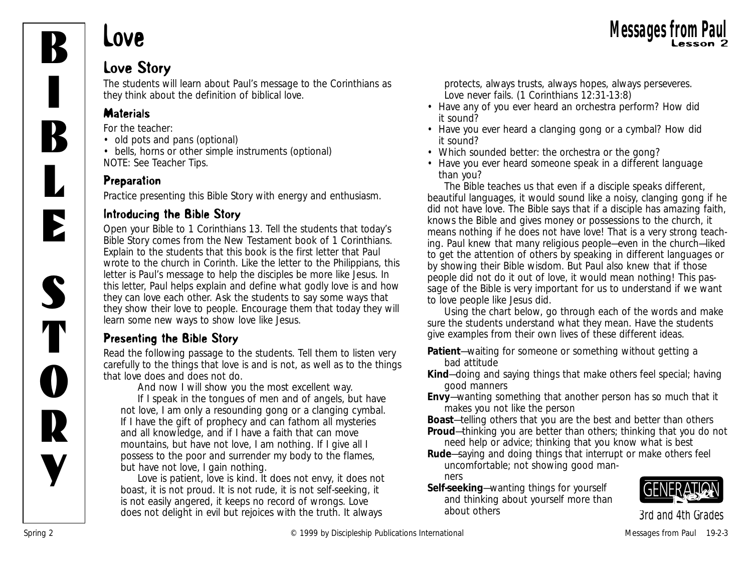

# Love Messages from Paul Messages from Paul

## Love Story

The students will learn about Paul's message to the Corinthians as they think about the definition of biblical love.

## **Materials**

*For the teacher:*

- old pots and pans (optional)
- bells, horns or other simple instruments (optional) NOTE: See Teacher Tips.

## Preparation

Practice presenting this Bible Story with energy and enthusiasm.

## Introducing the Bible Story

Open your Bible to 1 Corinthians 13. Tell the students that today's Bible Story comes from the New Testament book of 1 Corinthians. Explain to the students that this book is the first letter that Paul wrote to the church in Corinth. Like the letter to the Philippians, this letter is Paul's message to help the disciples be more like Jesus. In this letter, Paul helps explain and define what godly love is and how they can love each other. Ask the students to say some ways that they show their love to people. Encourage them that today they will learn some new ways to show love like Jesus.

## Presenting the Bible Story

Read the following passage to the students. Tell them to listen very carefully to the things that love is and is not, as well as to the things that love does and does not do.

*And now I will show you the most excellent way. If I speak in the tongues of men and of angels, but have not love, I am only a resounding gong or a clanging cymbal. If I have the gift of prophecy and can fathom all mysteries and all knowledge, and if I have a faith that can move mountains, but have not love, I am nothing. If I give all I possess to the poor and surrender my body to the flames, but have not love, I gain nothing.*

*Love is patient, love is kind. It does not envy, it does not boast, it is not proud. It is not rude, it is not self-seeking, it is not easily angered, it keeps no record of wrongs. Love does not delight in evil but rejoices with the truth. It always*

*protects, always trusts, always hopes, always perseveres. Love never fails. (1 Corinthians 12:31-13:8)*

- *Have any of you ever heard an orchestra perform? How did it sound?*
- *Have you ever heard a clanging gong or a cymbal? How did it sound?*
- *Which sounded better: the orchestra or the gong?*
- *Have you ever heard someone speak in a different language than you?*

*The Bible teaches us that even if a disciple speaks different, beautiful languages, it would sound like a noisy, clanging gong if he did not have love. The Bible says that if a disciple has amazing faith, knows the Bible and gives money or possessions to the church, it means nothing if he does not have love! That is a very strong teaching. Paul knew that many religious people—even in the church—liked to get the attention of others by speaking in different languages or by showing their Bible wisdom. But Paul also knew that if those people did not do it out of love, it would mean nothing! This passage of the Bible is very important for us to understand if we want to love people like Jesus did.*

Using the chart below, go through each of the words and make sure the students understand what they mean. Have the students give examples from their own lives of these different ideas.

- **Patient**—waiting for someone or something without getting a bad attitude
- **Kind**—doing and saying things that make others feel special; having good manners
- **Envy**—wanting something that another person has so much that it makes you not like the person
- **Boast**—telling others that you are the best and better than others **Proud**—thinking you are better than others; thinking that you do not
- need help or advice; thinking that you know what is best
- **Rude**—saying and doing things that interrupt or make others feel uncomfortable; not showing good manners
- **Self-seeking**—wanting things for yourself and thinking about yourself more than about others

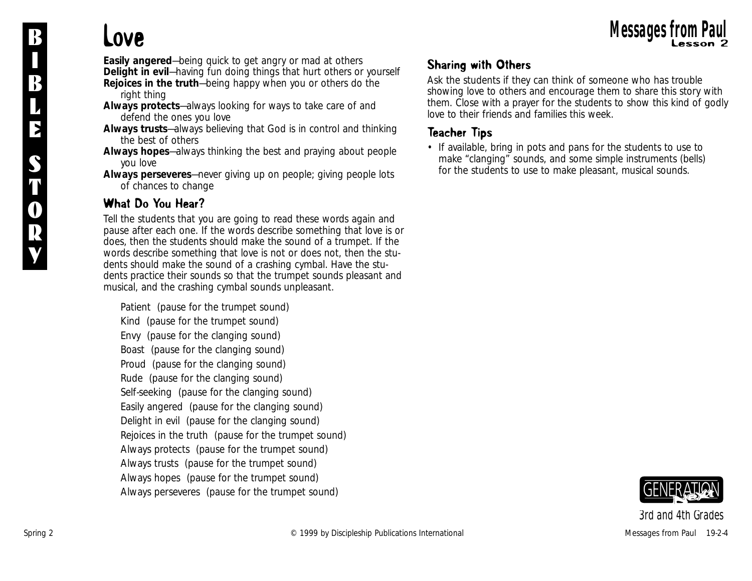**Easily angered**—being quick to get angry or mad at others **Delight in evil**—having fun doing things that hurt others or yourself **Rejoices in the truth**—being happy when you or others do the right thing

**Always protects**—always looking for ways to take care of and defend the ones you love

**Always trusts**—always believing that God is in control and thinking the best of others

**Always hopes**—always thinking the best and praying about people you love

**Always perseveres**—never giving up on people; giving people lots of chances to change

## What Do You Hear?

Tell the students that you are going to read these words again and pause after each one. If the words describe something that love is or does, then the students should make the sound of a trumpet. If the words describe something that love is not or does not, then the students should make the sound of a crashing cymbal. Have the students practice their sounds so that the trumpet sounds pleasant and musical, and the crashing cymbal sounds unpleasant.

*Patient* (pause for the trumpet sound) *Kind* (pause for the trumpet sound) *Envy* (pause for the clanging sound) *Boast* (pause for the clanging sound) *Proud* (pause for the clanging sound) *Rude* (pause for the clanging sound) *Self-seeking* (pause for the clanging sound) *Easily angered* (pause for the clanging sound) *Delight in evil* (pause for the clanging sound) *Rejoices in the truth* (pause for the trumpet sound) *Always protects* (pause for the trumpet sound) *Always trusts* (pause for the trumpet sound) *Always hopes* (pause for the trumpet sound) *Always perseveres* (pause for the trumpet sound)

## Sharing with Others

Ask the students if they can think of someone who has trouble showing love to others and encourage them to share this story with them. Close with a prayer for the students to show this kind of godly love to their friends and families this week.

## Teacher Tips

• If available, bring in pots and pans for the students to use to make "clanging" sounds, and some simple instruments (bells) for the students to use to make pleasant, musical sounds.

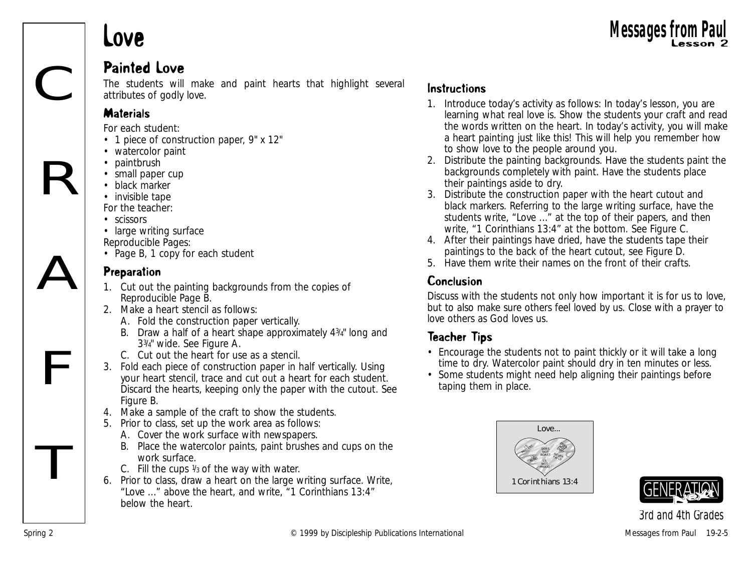# Love Messages from Paul Messages from Paul

## Painted Love

The students will make and paint hearts that highlight several attributes of godly love.

#### **Materials**

*For each student:*

- 1 piece of construction paper, 9" x 12"
- watercolor paint
- paintbrush
- small paper cup
- black marker
- invisible tape

*For the teacher:*

- scissors
- large writing surface
- *Reproducible Pages:*
- Page B, 1 copy for each student

## **Preparation**

- 1. Cut out the painting backgrounds from the copies of Reproducible Page B.
- 2. Make a heart stencil as follows:
	- A. Fold the construction paper vertically.
	- B. Draw a half of a heart shape approximately 43/4" long and 33/4" wide. See Figure A.
	- C. Cut out the heart for use as a stencil.
- 3. Fold each piece of construction paper in half vertically. Using your heart stencil, trace and cut out a heart for each student. Discard the hearts, keeping only the paper with the cutout. See Figure B.
- 4. Make a sample of the craft to show the students.
- 5. Prior to class, set up the work area as follows:
	- A. Cover the work surface with newspapers.
	- B. Place the watercolor paints, paint brushes and cups on the work surface.
	- C. Fill the cups  $\frac{1}{3}$  of the way with water.
- 6. Prior to class, draw a heart on the large writing surface. Write, "Love …" above the heart, and write, "1 Corinthians 13:4" below the heart.

1. Introduce today's activity as follows: *In today's lesson, you are learning what real love is.* Show the students your craft and read the words written on the heart. *In today's activity, you will make a heart painting just like this! This will help you remember how to show love to the people around you.*

**Messages from** 

- 2. Distribute the painting backgrounds. Have the students paint the backgrounds completely with paint. Have the students place their paintings aside to dry.
- 3. Distribute the construction paper with the heart cutout and black markers. Referring to the large writing surface, have the students write, "Love …" at the top of their papers, and then write, "1 Corinthians 13:4" at the bottom. See Figure C.
- 4. After their paintings have dried, have the students tape their paintings to the back of the heart cutout, see Figure D.
- 5. Have them write their names on the front of their crafts.

## Conclusion

Discuss with the students not only how important it is for us to love, but to also make sure others feel loved by us. Close with a prayer to love others as God loves us.

## Teacher Tips

- Encourage the students not to paint thickly or it will take a long time to dry. Watercolor paint should dry in ten minutes or less.
- Some students might need help aligning their paintings before taping them in place.





R

A

F

T

C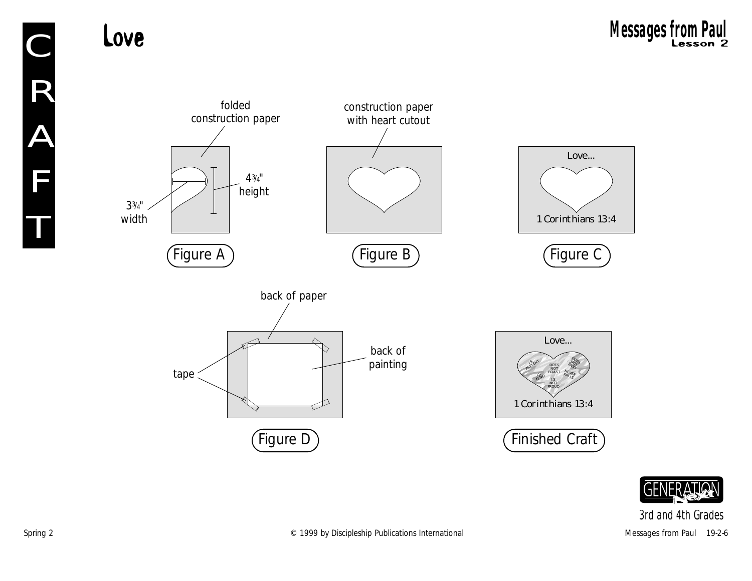33/4" width



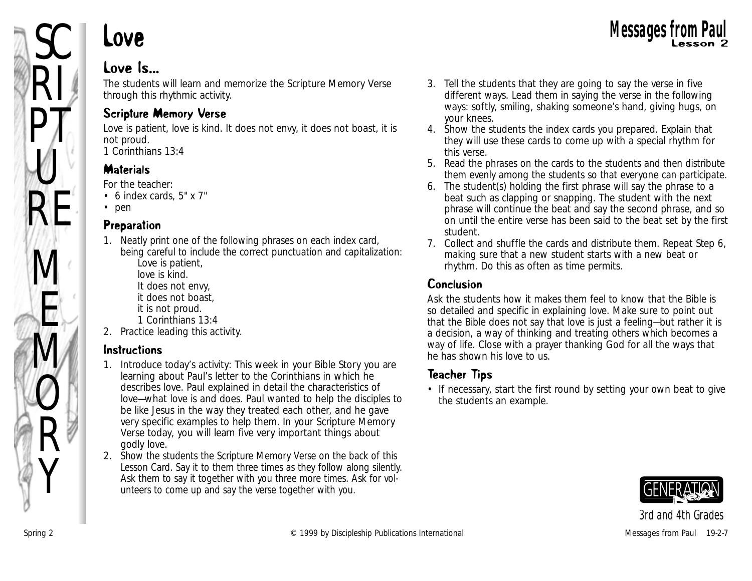

# Love Messages from Paul Messages from Paul

## Love Is...

The students will learn and memorize the Scripture Memory Verse through this rhythmic activity.

## Scripture Memory Verse

Love is patient, love is kind. It does not envy, it does not boast, it is not proud. *1 Corinthians 13:4*

## **Materials**

*For the teacher:*

- 6 index cards, 5" x 7"
- pen

#### Preparation

1. Neatly print one of the following phrases on each index card, being careful to include the correct punctuation and capitalization: Love is patient,

love is kind.

- It does not envy,
- it does not boast,
- it is not proud.
- 1 Corinthians 13:4
- 2. Practice leading this activity.

## Instructions

- 1. Introduce today's activity: *This week in your Bible Story you are learning about Paul's letter to the Corinthians in which he describes love. Paul explained in detail the characteristics of love—what love is and does. Paul wanted to help the disciples to be like Jesus in the way they treated each other, and he gave very specific examples to help them. In your Scripture Memory Verse today, you will learn five very important things about godly love.*
- 2. Show the students the Scripture Memory Verse on the back of this Lesson Card. Say it to them three times as they follow along silently. Ask them to say it together with you three more times. Ask for volunteers to come up and say the verse together with you.
- 3. Tell the students that they are going to say the verse in five different ways. Lead them in saying the verse in the following ways: softly, smiling, shaking someone's hand, giving hugs, on your knees.
- 4. Show the students the index cards you prepared. Explain that they will use these cards to come up with a special rhythm for this verse.
- 5. Read the phrases on the cards to the students and then distribute them evenly among the students so that everyone can participate.
- 6. The student(s) holding the first phrase will say the phrase to a beat such as clapping or snapping. The student with the next phrase will continue the beat and say the second phrase, and so on until the entire verse has been said to the beat set by the first student.
- 7. Collect and shuffle the cards and distribute them. Repeat Step 6, making sure that a new student starts with a new beat or rhythm. Do this as often as time permits.

## Conclusion

Ask the students how it makes them feel to know that the Bible is so detailed and specific in explaining love. Make sure to point out that the Bible does not say that love is just a feeling—but rather it is a decision, a way of thinking and treating others which becomes a way of life. Close with a prayer thanking God for all the ways that he has shown his love to us.

## Teacher Tips

• If necessary, start the first round by setting your own beat to give the students an example.

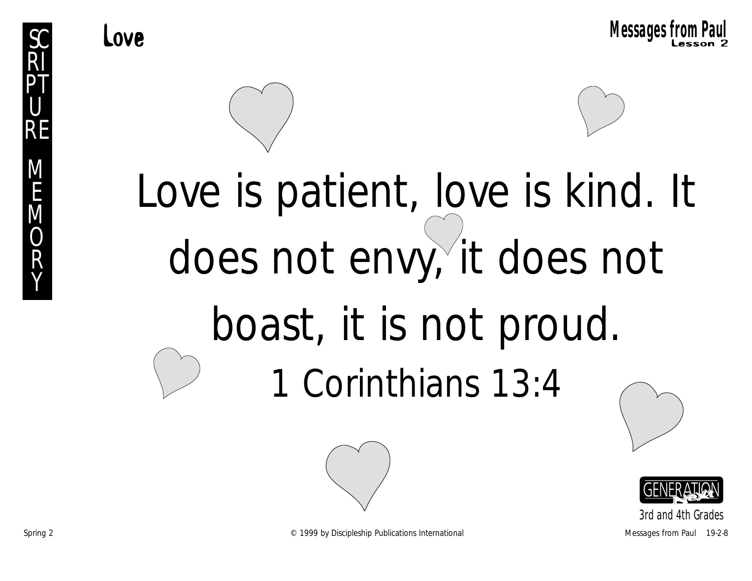

# Love is patient, love is kind. It does not envy, it does not boast, it is not proud. 1 Corinthians 13:4





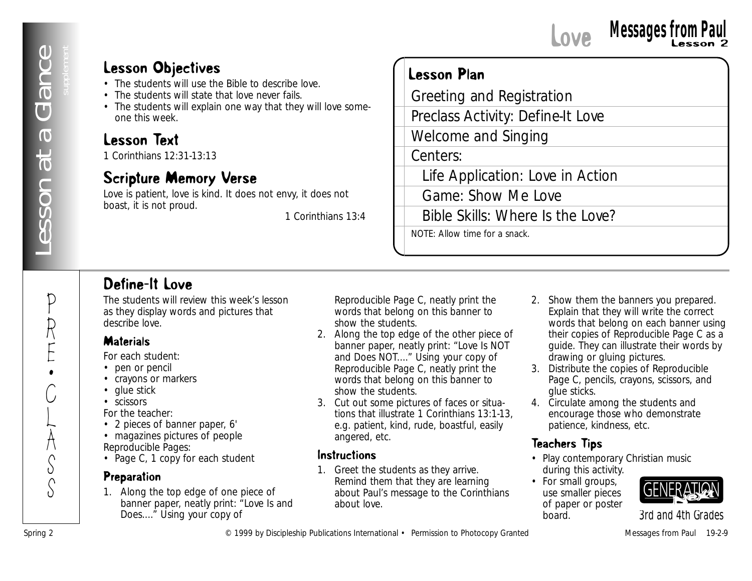P

R

E •

C

L

 $\sum_{i=1}^{n}$ 

 $\frac{1}{2}$ S

# Love Lesson 2 **Messages from Paul**

## Lesson Objectives

- The students will use the Bible to describe love.
- The students will state that love never fails.
- The students will explain one way that they will love someone this week.

## Lesson Text

1 Corinthians 12:31-13:13

## Scripture Memory Verse

Love is patient, love is kind. It does not envy, it does not boast, it is not proud.

*1 Corinthians 13:4*

## Lesson Plan

**Lesson Objectives**<br>
• The number and the new false.<br>
• The number and the new false.<br>
• The number and Spring Publications International Granted Message Schedule 1999<br> **Lesson Text** Countleman Spring Countleman Spring Cou Greeting and Registration Preclass Activity: Define-It Love Welcome and Singing Centers: Life Application: Love in Action Game: Show Me Love Bible Skills: Where Is the Love? NOTE: Allow time for a snack.

## Define-It Love

The students will review this week's lesson as they display words and pictures that describe love.

#### **Materials**

*For each student:*

- pen or pencil
- crayons or markers
- glue stick
- scissors

*For the teacher:*

- 2 pieces of banner paper, 6'
- magazines pictures of people *Reproducible Pages:*
- Page C, 1 copy for each student

#### Preparation

1. Along the top edge of one piece of banner paper, neatly print: "Love Is and Does...." Using your copy of

Reproducible Page C, neatly print the words that belong on this banner to show the students.

- 2. Along the top edge of the other piece of banner paper, neatly print: "Love Is NOT and Does NOT...." Using your copy of Reproducible Page C, neatly print the words that belong on this banner to show the students.
- 3. Cut out some pictures of faces or situations that illustrate 1 Corinthians 13:1-13, e.g. patient, kind, rude, boastful, easily angered, etc.

#### Instructions

1. Greet the students as they arrive. Remind them that they are learning about Paul's message to the Corinthians about love.

- 2. Show them the banners you prepared. Explain that they will write the correct words that belong on each banner using their copies of Reproducible Page C as a guide. They can illustrate their words by drawing or gluing pictures.
- 3. Distribute the copies of Reproducible Page C, pencils, crayons, scissors, and glue sticks.
- 4. Circulate among the students and encourage those who demonstrate patience, kindness, etc.

## Teachers Tips

- Play contemporary Christian music during this activity.
- For small groups, use smaller pieces of paper or poster board.

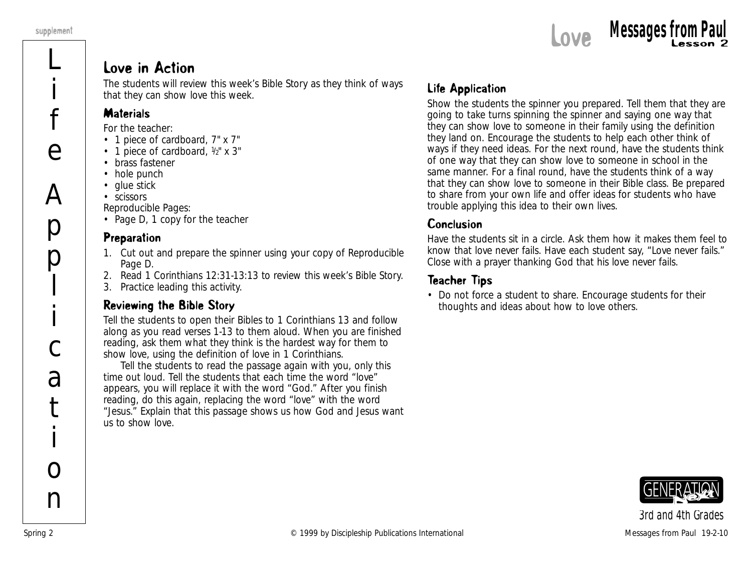

#### Love in Action

The students will review this week's Bible Story as they think of ways that they can show love this week.

#### **Materials**

*For the teacher:*

- 1 piece of cardboard, 7" x 7"
- 1 piece of cardboard,  $\frac{1}{2}$ " x 3"
- brass fastener
- hole punch
- glue stick
- scissors

*Reproducible Pages:*

• Page D, 1 copy for the teacher

#### Preparation

- 1. Cut out and prepare the spinner using your copy of Reproducible Page D.
- 2. Read 1 Corinthians 12:31-13:13 to review this week's Bible Story.
- 3. Practice leading this activity.

#### Reviewing the Bible Story

Tell the students to open their Bibles to 1 Corinthians 13 and follow along as you read verses 1-13 to them aloud. When you are finished reading, ask them what they think is the hardest way for them to show love, using the definition of love in 1 Corinthians.

Tell the students to read the passage again with you, only this time out loud. Tell the students that each time the word "love" appears, you will replace it with the word "God." After you finish reading, do this again, replacing the word "love" with the word "Jesus." Explain that this passage shows us how God and Jesus want us to show love.

## Life Application

Show the students the spinner you prepared. Tell them that they are going to take turns spinning the spinner and saying one way that they can show love to someone in their family using the definition they land on. Encourage the students to help each other think of ways if they need ideas. For the next round, have the students think of one way that they can show love to someone in school in the same manner. For a final round, have the students think of a way that they can show love to someone in their Bible class. Be prepared to share from your own life and offer ideas for students who have trouble applying this idea to their own lives.

#### Conclusion

Have the students sit in a circle. Ask them how it makes them feel to know that love never fails. Have each student say, "Love never fails." Close with a prayer thanking God that his love never fails.

## Teacher Tips

• Do not force a student to share. Encourage students for their thoughts and ideas about how to love others.

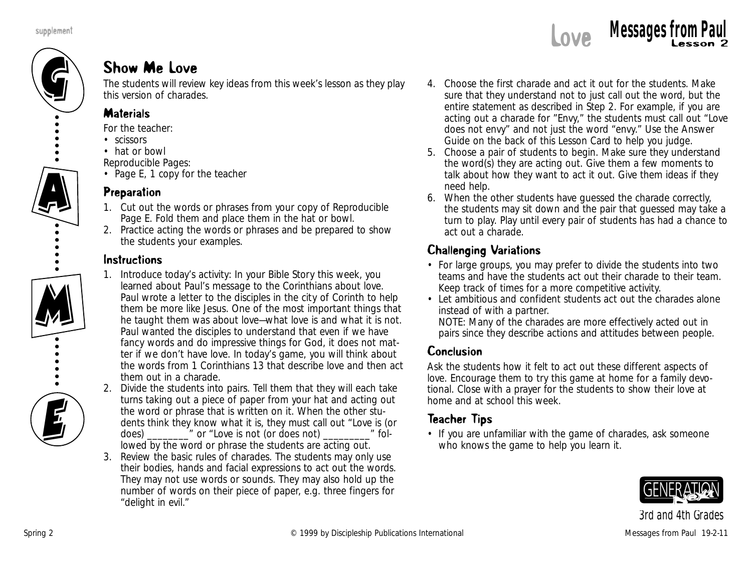

## Show Me Love

The students will review key ideas from this week's lesson as they play this version of charades.

#### **Materials**

*For the teacher:*

- scissors
- hat or bowl

*Reproducible Pages:*

• Page E, 1 copy for the teacher

#### Preparation

- 1. Cut out the words or phrases from your copy of Reproducible Page E. Fold them and place them in the hat or bowl.
- 2. Practice acting the words or phrases and be prepared to show the students your examples.

#### Instructions

- 1. Introduce today's activity: *In your Bible Story this week, you learned about Paul's message to the Corinthians about love. Paul wrote a letter to the disciples in the city of Corinth to help them be more like Jesus. One of the most important things that he taught them was about love—what love is and what it is not. Paul wanted the disciples to understand that even if we have fancy words and do impressive things for God, it does not matter if we don't have love. In today's game, you will think about the words from 1 Corinthians 13 that describe love and then act them out in a charade.*
- 2. Divide the students into pairs. Tell them that they will each take turns taking out a piece of paper from your hat and acting out the word or phrase that is written on it. When the other students think they know what it is, they must call out "Love is (or does)  $\blacksquare$  or "Love is not (or does not)  $\blacksquare$  followed by the word or phrase the students are acting out.
- 3. Review the basic rules of charades. The students may only use their bodies, hands and facial expressions to act out the words. They may not use words or sounds. They may also hold up the number of words on their piece of paper, e.g. three fingers for "delight in evil."
- 4. Choose the first charade and act it out for the students. Make sure that they understand not to just call out the word, but the entire statement as described in Step 2. For example, if you are acting out a charade for "Envy," the students must call out "Love does not envy" and not just the word "envy." Use the Answer Guide on the back of this Lesson Card to help you judge.
- 5. Choose a pair of students to begin. Make sure they understand the word(s) they are acting out. Give them a few moments to talk about how they want to act it out. Give them ideas if they need help.
- 6. When the other students have guessed the charade correctly, the students may sit down and the pair that guessed may take a turn to play. Play until every pair of students has had a chance to act out a charade.

## Challenging Variations

- For large groups, you may prefer to divide the students into two teams and have the students act out their charade to their team. Keep track of times for a more competitive activity.
- Let ambitious and confident students act out the charades alone instead of with a partner.

NOTE: Many of the charades are more effectively acted out in pairs since they describe actions and attitudes between people.

## Conclusion

Ask the students how it felt to act out these different aspects of love. Encourage them to try this game at home for a family devotional. Close with a prayer for the students to show their love at home and at school this week.

## Teacher Tips

• If you are unfamiliar with the game of charades, ask someone who knows the game to help you learn it.

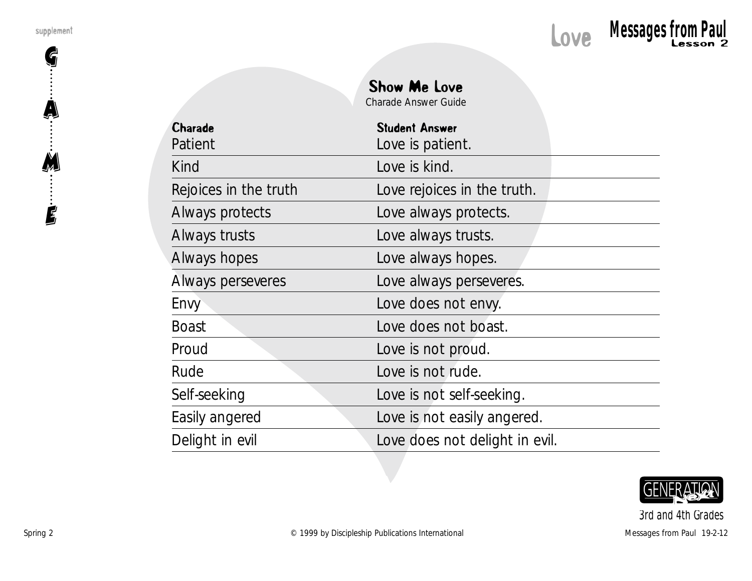G

A

M

E



| <b>Show Me Love</b>  |  |
|----------------------|--|
| Charado Angwor Guide |  |

Charade Answer Guide

| <b>Charade</b>        | <b>Student Answer</b>          |
|-----------------------|--------------------------------|
| Patient               | Love is patient.               |
| Kind                  | Love is kind.                  |
| Rejoices in the truth | Love rejoices in the truth.    |
| Always protects       | Love always protects.          |
| Always trusts         | Love always trusts.            |
| Always hopes          | Love always hopes.             |
| Always perseveres     | Love always perseveres.        |
| Envy                  | Love does not envy.            |
| <b>Boast</b>          | Love does not boast.           |
| Proud                 | Love is not proud.             |
| Rude                  | Love is not rude.              |
| Self-seeking          | Love is not self-seeking.      |
| Easily angered        | Love is not easily angered.    |
| Delight in evil       | Love does not delight in evil. |

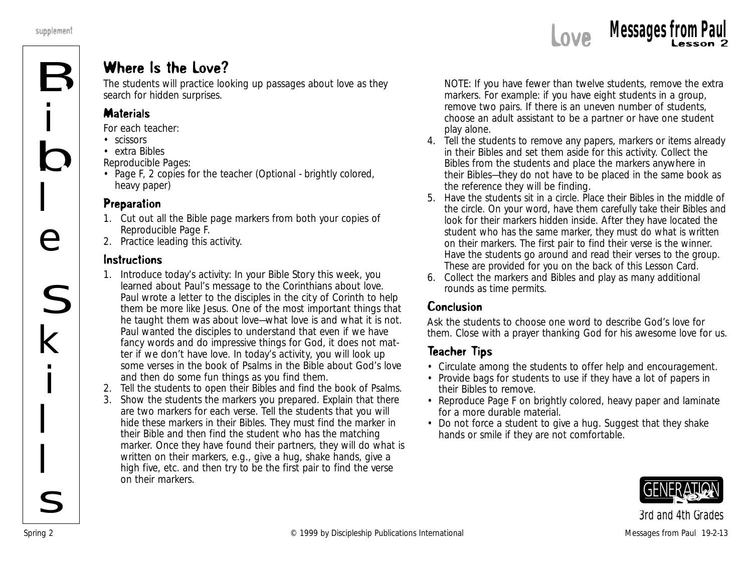

## Where Is the Love?

The students will practice looking up passages about love as they search for hidden surprises.

#### **Materials**

*For each teacher:*

- scissors
- extra Bibles

*Reproducible Pages:*

• Page F, 2 copies for the teacher (Optional - brightly colored, heavy paper)

#### Preparation

- 1. Cut out all the Bible page markers from both your copies of Reproducible Page F.
- 2. Practice leading this activity.

#### Instructions

- 1. Introduce today's activity: *In your Bible Story this week, you learned about Paul's message to the Corinthians about love. Paul wrote a letter to the disciples in the city of Corinth to help them be more like Jesus. One of the most important things that he taught them was about love—what love is and what it is not. Paul wanted the disciples to understand that even if we have fancy words and do impressive things for God, it does not matter if we don't have love. In today's activity, you will look up some verses in the book of Psalms in the Bible about God's love and then do some fun things as you find them.*
- 2. Tell the students to open their Bibles and find the book of Psalms.
- 3. Show the students the markers you prepared. Explain that there are two markers for each verse. Tell the students that you will hide these markers in their Bibles. They must find the marker in their Bible and then find the student who has the matching marker. Once they have found their partners, they will do what is written on their markers, e.g., give a hug, shake hands, give a high five, etc. and then try to be the first pair to find the verse on their markers.

NOTE: If you have fewer than twelve students, remove the extra markers. For example: if you have eight students in a group, remove two pairs. If there is an uneven number of students, choose an adult assistant to be a partner or have one student play alone.

- 4. Tell the students to remove any papers, markers or items already in their Bibles and set them aside for this activity. Collect the Bibles from the students and place the markers anywhere in their Bibles—they do not have to be placed in the same book as the reference they will be finding.
- 5. Have the students sit in a circle. Place their Bibles in the middle of the circle. On your word, have them carefully take their Bibles and look for their markers hidden inside. After they have located the student who has the same marker, they must do what is written on their markers. The first pair to find their verse is the winner. Have the students go around and read their verses to the group. These are provided for you on the back of this Lesson Card.
- 6. Collect the markers and Bibles and play as many additional rounds as time permits.

## Conclusion

Ask the students to choose one word to describe God's love for them. Close with a prayer thanking God for his awesome love for us.

## Teacher Tips

- Circulate among the students to offer help and encouragement.
- Provide bags for students to use if they have a lot of papers in their Bibles to remove.
- Reproduce Page F on brightly colored, heavy paper and laminate for a more durable material.
- Do not force a student to give a hug. Suggest that they shake hands or smile if they are not comfortable.

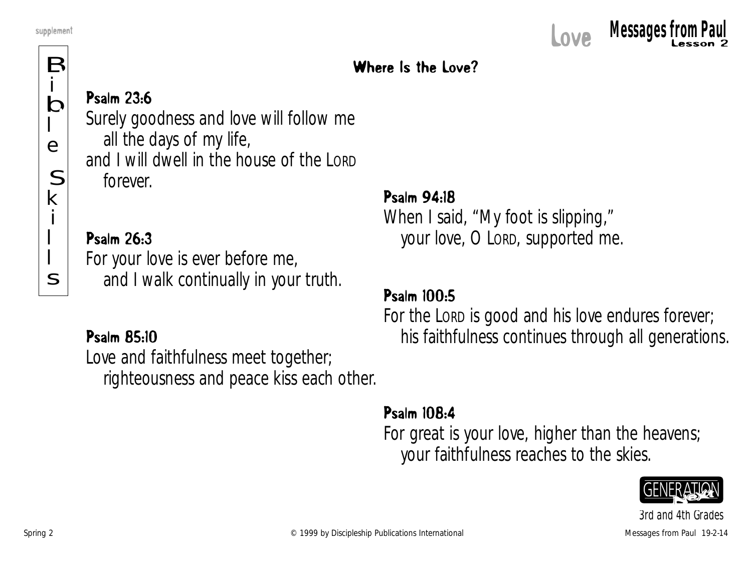## Where Is the Love?

B i b l e S k i l l s

## Psalm 23:6

Surely goodness and love will follow me all the days of my life, and I will dwell in the house of the LORD forever.

## Psalm 26:3

For your love is ever before me, and I walk continually in your truth.

## Psalm 85:10

Love and faithfulness meet together; righteousness and peace kiss each other.

## Psalm 94:18

When I said, "My foot is slipping," your love, O LORD, supported me.

## Psalm 100:5

For the LORD is good and his love endures forever; his faithfulness continues through all generations.

## Psalm 108:4

For great is your love, higher than the heavens; your faithfulness reaches to the skies.

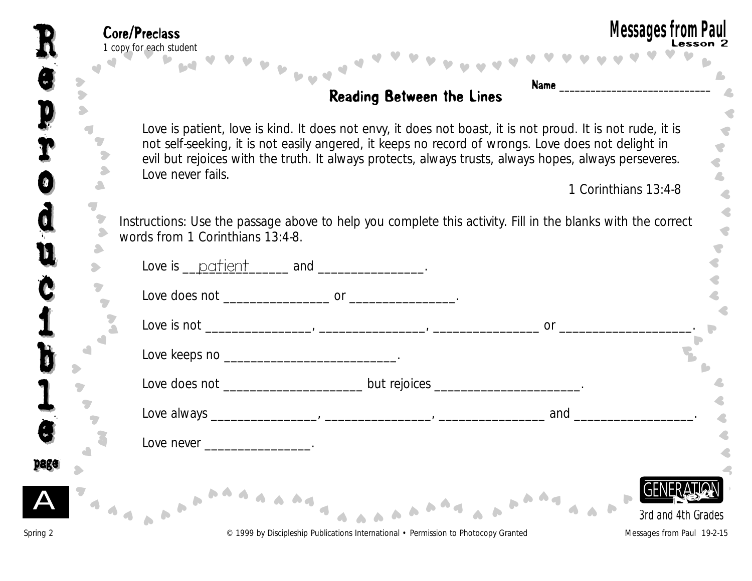|             | <b>Reading Between the Lines</b>                                                                                                                                                                                                                                                                                                               |                      |
|-------------|------------------------------------------------------------------------------------------------------------------------------------------------------------------------------------------------------------------------------------------------------------------------------------------------------------------------------------------------|----------------------|
|             | Love is patient, love is kind. It does not envy, it does not boast, it is not proud. It is not rude, it is<br>not self-seeking, it is not easily angered, it keeps no record of wrongs. Love does not delight in<br>evil but rejoices with the truth. It always protects, always trusts, always hopes, always perseveres.<br>Love never fails. | 1 Corinthians 13:4-8 |
|             |                                                                                                                                                                                                                                                                                                                                                |                      |
|             | Instructions: Use the passage above to help you complete this activity. Fill in the blanks with the correct<br>words from 1 Corinthians 13:4-8.                                                                                                                                                                                                |                      |
|             | Love is $\frac{\text{pattern}}{\text{and}}$ and $\frac{\text{mean}}{\text{mean}}$ .                                                                                                                                                                                                                                                            |                      |
|             |                                                                                                                                                                                                                                                                                                                                                |                      |
|             |                                                                                                                                                                                                                                                                                                                                                |                      |
|             | Love keeps no ________________________________.                                                                                                                                                                                                                                                                                                |                      |
|             | Love does not ______________________________but rejoices _______________________.                                                                                                                                                                                                                                                              |                      |
|             |                                                                                                                                                                                                                                                                                                                                                | and                  |
| $\triangle$ | Love never                                                                                                                                                                                                                                                                                                                                     |                      |
|             |                                                                                                                                                                                                                                                                                                                                                |                      |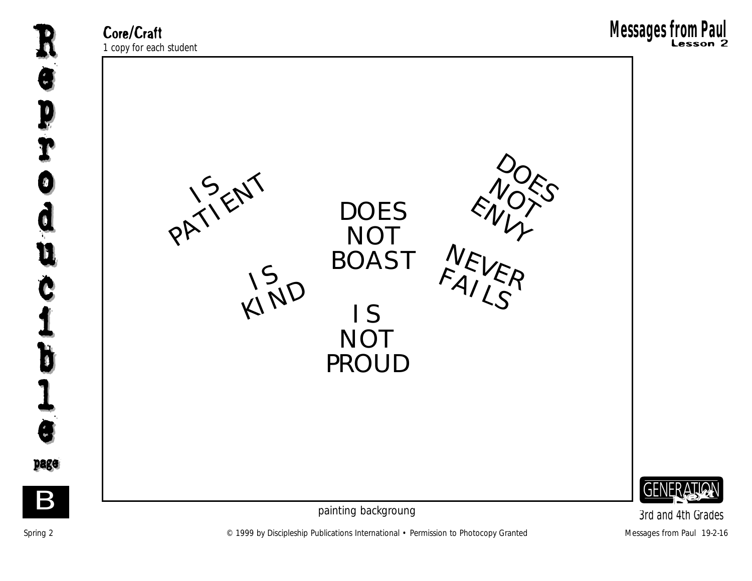**Core/Craft**<br>1 copy for each student



Spring 2 **Example 2** C 1999 by Discipleship Publications International • Permission to Photocopy Granted Messages from Paul 19-2-16 *3rd and 4th Grades*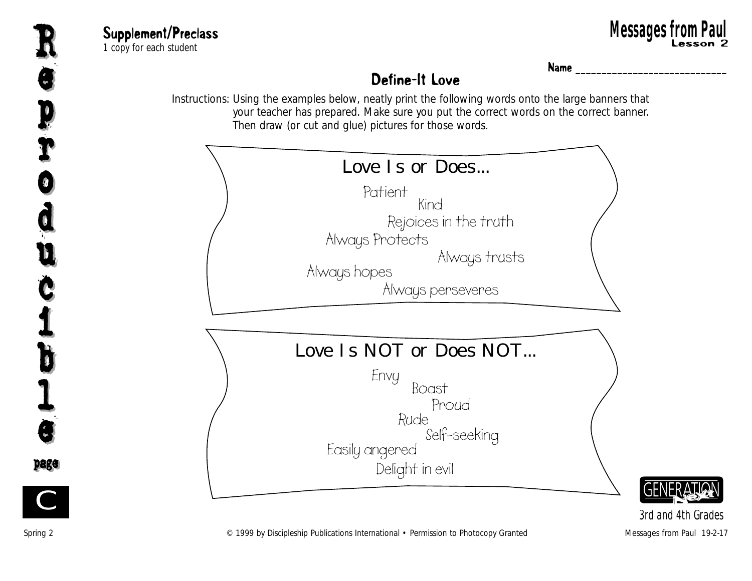

**Supplement/Preclass**<br>1 copy for each student 1 **upplement/Preclass العالمية العالمية العالمية العالمية العالمية العالمية العالمية العالمية العالمية العالمي**<br>2 Lesson 2 Lesson 2 **Messages from Paul** Research Supplement/Preclass **and Computer Computer Computer Supplement/Preclass Supplement** Research 2<br>The copy for each student **Research 2** 



Name **\_\_\_\_\_\_\_\_\_\_\_\_\_\_\_\_\_\_\_\_\_\_\_\_\_\_\_\_\_**

## Define-It Love

Instructions: Using the examples below, neatly print the following words onto the large banners that your teacher has prepared. Make sure you put the correct words on the correct banner. Then draw (or cut and glue) pictures for those words.



*3rd and 4th Grades*

Spring 2 **Spring 2** Messages from Paul 19-2-17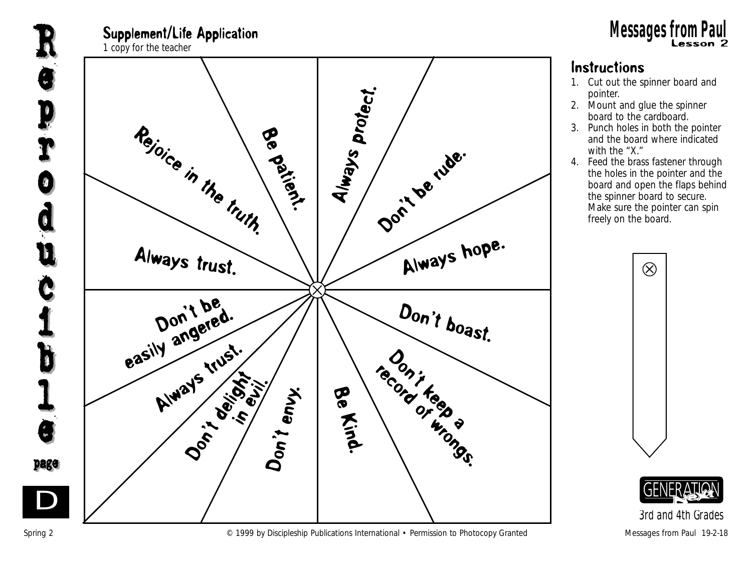



#### Instructions

- 1. Cut out the spinner board and pointer.
- 2. Mount and glue the spinner board to the cardboard.
- 3. Punch holes in both the pointer and the board where indicated with the "X."
- 4. Feed the brass fastener through the holes in the pointer and the board and open the flaps behind the spinner board to secure. Make sure the pointer can spin freely on the board.



*3rd and 4th Grades*

Spring 2 **Example 2** C 1999 by Discipleship Publications International • Permission to Photocopy Granted Messages from Paul 19-2-18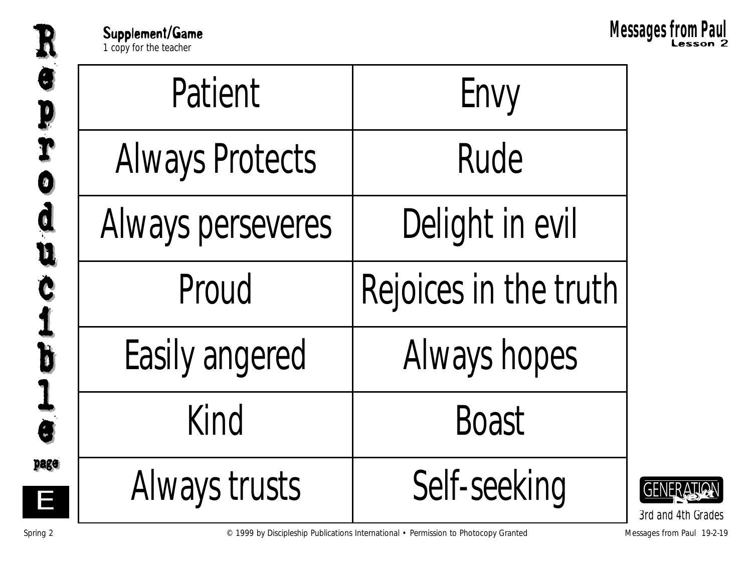Supplement/Game<br> **Examplement/Game**<br> **Examplement**<br> **Messages from Paul**<br> **Examplement**<br> **Messages from Paul** 

Messages from Paul

| Patient                | Envy                  |  |
|------------------------|-----------------------|--|
| <b>Always Protects</b> | Rude                  |  |
| Always perseveres      | Delight in evil       |  |
| Proud                  | Rejoices in the truth |  |
| <b>Easily angered</b>  | Always hopes          |  |
| Kind                   | <b>Boast</b>          |  |
| Always trusts          | Self-seeking          |  |